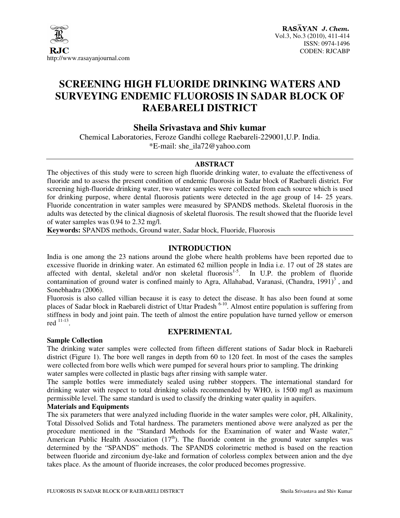

# **SCREENING HIGH FLUORIDE DRINKING WATERS AND SURVEYING ENDEMIC FLUOROSIS IN SADAR BLOCK OF RAEBARELI DISTRICT**

# **Sheila Srivastava and Shiv kumar**

Chemical Laboratories, Feroze Gandhi college Raebareli-229001,U.P. India. \*E-mail: she\_ila72@yahoo.com

#### **ABSTRACT**

The objectives of this study were to screen high fluoride drinking water, to evaluate the effectiveness of fluoride and to assess the present condition of endemic fluorosis in Sadar block of Raebareli district. For screening high-fluoride drinking water, two water samples were collected from each source which is used for drinking purpose, where dental fluorosis patients were detected in the age group of 14- 25 years. Fluoride concentration in water samples were measured by SPANDS methods. Skeletal fluorosis in the adults was detected by the clinical diagnosis of skeletal fluorosis. The result showed that the fluoride level of water samples was 0.94 to 2.32 mg/l.

**Keywords:** SPANDS methods, Ground water, Sadar block, Fluoride, Fluorosis

#### **INTRODUCTION**

India is one among the 23 nations around the globe where health problems have been reported due to excessive fluoride in drinking water. An estimated 62 million people in India i.e. 17 out of 28 states are affected with dental, skeletal and/or non skeletal fluorosis<sup>1-5</sup>. In U.P. the problem of fluoride contamination of ground water is confined mainly to Agra, Allahabad, Varanasi, (Chandra, 1991)<sup>3</sup>, and Sonebhadra (2006).

Fluorosis is also called villian because it is easy to detect the disease. It has also been found at some places of Sadar block in Raebareli district of Uttar Pradesh <sup>6-10</sup>. Almost entire population is suffering from stiffness in body and joint pain. The teeth of almost the entire population have turned yellow or emerson red  $\frac{11-13}{1}$ .

#### **EXPERIMENTAL**

# **Sample Collection**

The drinking water samples were collected from fifteen different stations of Sadar block in Raebareli district (Figure 1). The bore well ranges in depth from 60 to 120 feet. In most of the cases the samples were collected from bore wells which were pumped for several hours prior to sampling. The drinking water samples were collected in plastic bags after rinsing with sample water.

The sample bottles were immediately sealed using rubber stoppers. The international standard for drinking water with respect to total drinking solids recommended by WHO, is 1500 mg/l as maximum permissible level. The same standard is used to classify the drinking water quality in aquifers.

#### **Materials and Equipments**

The six parameters that were analyzed including fluoride in the water samples were color, pH, Alkalinity, Total Dissolved Solids and Total hardness. The parameters mentioned above were analyzed as per the procedure mentioned in the "Standard Methods for the Examination of water and Waste water," American Public Health Association  $(17<sup>th</sup>)$ . The fluoride content in the ground water samples was determined by the "SPANDS" methods. The SPANDS colorimetric method is based on the reaction between fluoride and zirconium dye-lake and formation of colorless complex between anion and the dye takes place. As the amount of fluoride increases, the color produced becomes progressive.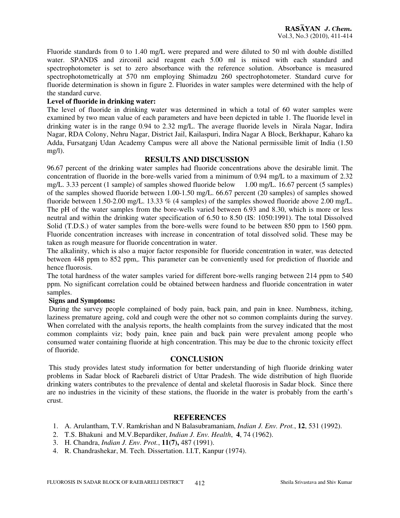Fluoride standards from 0 to 1.40 mg/L were prepared and were diluted to 50 ml with double distilled water. SPANDS and zirconil acid reagent each 5.00 ml is mixed with each standard and spectrophotometer is set to zero absorbance with the reference solution. Absorbance is measured spectrophotometrically at 570 nm employing Shimadzu 260 spectrophotometer. Standard curve for fluoride determination is shown in figure 2. Fluorides in water samples were determined with the help of the standard curve.

#### **Level of fluoride in drinking water:**

The level of fluoride in drinking water was determined in which a total of 60 water samples were examined by two mean value of each parameters and have been depicted in table 1. The fluoride level in drinking water is in the range 0.94 to 2.32 mg/L. The average fluoride levels in Nirala Nagar, Indira Nagar, RDA Colony, Nehru Nagar, District Jail, Kailaspuri, Indira Nagar A Block, Berkhapur, Kaharo ka Adda, Fursatganj Udan Academy Campus were all above the National permissible limit of India (1.50 mg/l).

## **RESULTS AND DISCUSSION**

96.67 percent of the drinking water samples had fluoride concentrations above the desirable limit. The concentration of fluoride in the bore-wells varied from a minimum of 0.94 mg/L to a maximum of 2.32 mg/L. 3.33 percent (1 sample) of samples showed fluoride below 1.00 mg/L. 16.67 percent (5 samples) of the samples showed fluoride between 1.00-1.50 mg/L. 66.67 percent (20 samples) of samples showed fluoride between 1.50-2.00 mg/L. 13.33 % (4 samples) of the samples showed fluoride above 2.00 mg/L. The pH of the water samples from the bore-wells varied between 6.93 and 8.30, which is more or less neutral and within the drinking water specification of 6.50 to 8.50 (IS: 1050:1991). The total Dissolved Solid (T.D.S.) of water samples from the bore-wells were found to be between 850 ppm to 1560 ppm. Fluoride concentration increases with increase in concentration of total dissolved solid. These may be taken as rough measure for fluoride concentration in water.

The alkalinity, which is also a major factor responsible for fluoride concentration in water, was detected between 448 ppm to 852 ppm,. This parameter can be conveniently used for prediction of fluoride and hence fluorosis.

The total hardness of the water samples varied for different bore-wells ranging between 214 ppm to 540 ppm. No significant correlation could be obtained between hardness and fluoride concentration in water samples.

#### **Signs and Symptoms:**

During the survey people complained of body pain, back pain, and pain in knee. Numbness, itching, laziness premature ageing, cold and cough were the other not so common complaints during the survey. When correlated with the analysis reports, the health complaints from the survey indicated that the most common complaints viz; body pain, knee pain and back pain were prevalent among people who consumed water containing fluoride at high concentration. This may be due to the chronic toxicity effect of fluoride.

#### **CONCLUSION**

This study provides latest study information for better understanding of high fluoride drinking water problems in Sadar block of Raebareli district of Uttar Pradesh. The wide distribution of high fluoride drinking waters contributes to the prevalence of dental and skeletal fluorosis in Sadar block. Since there are no industries in the vicinity of these stations, the fluoride in the water is probably from the earth's crust.

## **REFERENCES**

- 1. A. Arulantham, T.V. Ramkrishan and N Balasubramaniam, *Indian J. Env. Prot.*, **12**, 531 (1992).
- 2. T.S. Bhakuni and M.V.Bepardiker, *Indian J. Env. Health*, **4**, 74 (1962).
- 3. H. Chandra, *Indian J. Env. Prot.*, **11(7),** 487 (1991).
- 4. R. Chandrashekar, M. Tech. Dissertation. I.I.T, Kanpur (1974).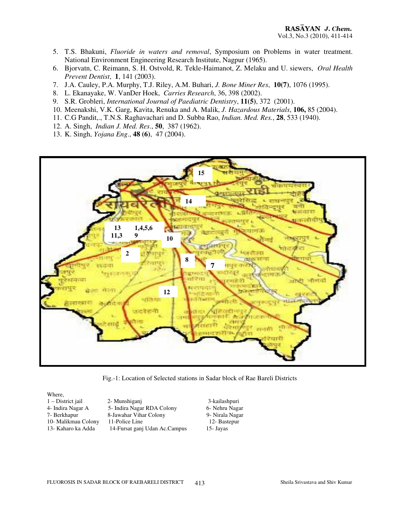- 5. T.S. Bhakuni, *Fluoride in waters and removal*, Symposium on Problems in water treatment. National Environment Engineering Research Institute, Nagpur (1965).
- 6. Bjorvatn, C. Reimann, S. H. Ostvold, R. Tekle-Haimanot, Z. Melaku and U. siewers, *Oral Health Prevent Dentist*, **1**, 141 (2003).
- 7. J.A. Cauley, P.A. Murphy, T.J. Riley, A.M. Buhari, *J. Bone Miner Res*, **10(7)**, 1076 (1995).
- 8. L. Ekanayake, W. VanDer Hoek, *Carries Research*, 36, 398 (2002).
- 9. S.R. Grobleri, *International Journal of Paediatric Dentistry*, **11(5)**, 372 (2001).
- 10. Meenakshi, V.K. Garg, Kavita, Renuka and A. Malik, *J. Hazardous Materials*, **106,** 85 (2004).
- 11. C.G Pandit,., T.N.S. Raghavachari and D. Subba Rao, *Indian. Med. Res.*, **28**, 533 (1940).
- 12. A. Singh, *Indian J. Med. Res*., **50**, 387 (1962).
- 13. K. Singh, *Yojana Eng*., **48 (6)**, 47 (2004).



Fig.-1: Location of Selected stations in Sadar block of Rae Bareli Districts

Where,

1 – District jail 2- Munshiganj 2- 3-kailashpuri<br> 4- Indira Nagar A 3-1 – 5- Indira Nagar RDA Colony 6- Nehru Nagar 5- Indira Nagar RDA Colony 7- Berkhapur 8-Jawahar Vihar Colony 9- Nirala Nagar 10- Malikmau Colony 11-Police Line 12- Bastepur<br>13- Kaharo ka Adda 14-Fursat ganj Udan Ac.Campus 15- Jayas 14- Fursat ganj Udan Ac.Campus